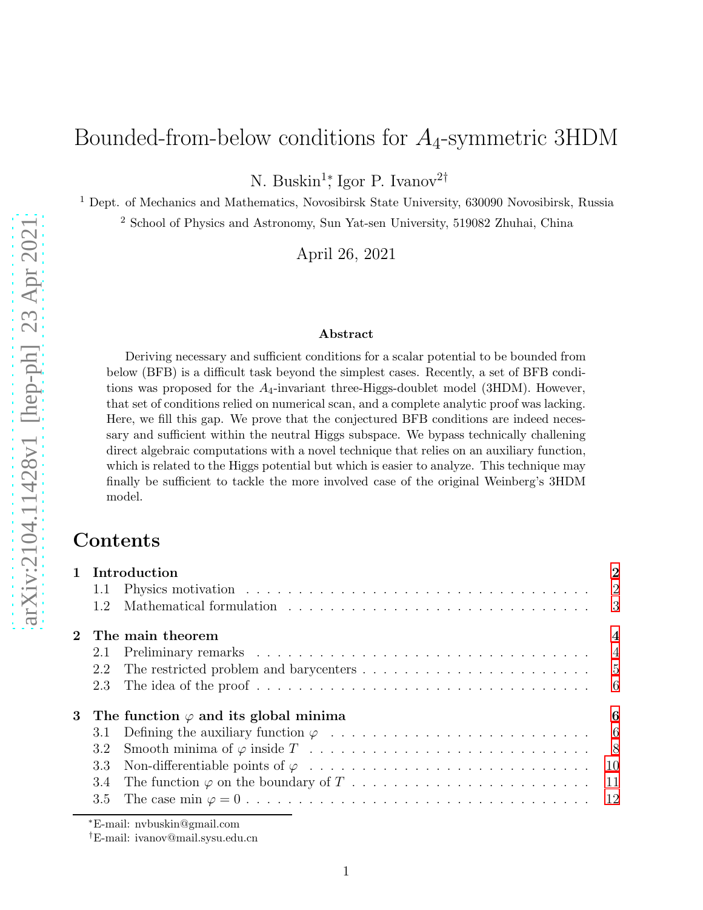# Bounded-from-below conditions for  $A_4$ -symmetric 3HDM

N. Buskin<sup>1</sup>;<sup>†</sup> Igor P. Ivanov<sup>2†</sup>

<sup>1</sup> Dept. of Mechanics and Mathematics, Novosibirsk State University, 630090 Novosibirsk, Russia

<sup>2</sup> School of Physics and Astronomy, Sun Yat-sen University, 519082 Zhuhai, China

April 26, 2021

#### Abstract

Deriving necessary and sufficient conditions for a scalar potential to be bounded from below (BFB) is a difficult task beyond the simplest cases. Recently, a set of BFB conditions was proposed for the  $A_4$ -invariant three-Higgs-doublet model (3HDM). However, that set of conditions relied on numerical scan, and a complete analytic proof was lacking. Here, we fill this gap. We prove that the conjectured BFB conditions are indeed necessary and sufficient within the neutral Higgs subspace. We bypass technically challening direct algebraic computations with a novel technique that relies on an auxiliary function, which is related to the Higgs potential but which is easier to analyze. This technique may finally be sufficient to tackle the more involved case of the original Weinberg's 3HDM model.

### Contents

| 1 Introduction |                                                                                                         |                                                                                                                                                                                                                                                                                                                 |  |
|----------------|---------------------------------------------------------------------------------------------------------|-----------------------------------------------------------------------------------------------------------------------------------------------------------------------------------------------------------------------------------------------------------------------------------------------------------------|--|
|                |                                                                                                         |                                                                                                                                                                                                                                                                                                                 |  |
| 1.2            |                                                                                                         |                                                                                                                                                                                                                                                                                                                 |  |
|                |                                                                                                         | $\overline{\mathbf{4}}$                                                                                                                                                                                                                                                                                         |  |
| 2.1            |                                                                                                         |                                                                                                                                                                                                                                                                                                                 |  |
| 2.2            |                                                                                                         |                                                                                                                                                                                                                                                                                                                 |  |
| 2.3            | The idea of the proof $\dots \dots \dots \dots \dots \dots \dots \dots \dots \dots \dots \dots \dots$ 6 |                                                                                                                                                                                                                                                                                                                 |  |
|                |                                                                                                         | 6                                                                                                                                                                                                                                                                                                               |  |
| 3.1            |                                                                                                         |                                                                                                                                                                                                                                                                                                                 |  |
| 3.2            |                                                                                                         |                                                                                                                                                                                                                                                                                                                 |  |
| 3.3            |                                                                                                         |                                                                                                                                                                                                                                                                                                                 |  |
| 3.4            |                                                                                                         |                                                                                                                                                                                                                                                                                                                 |  |
|                |                                                                                                         |                                                                                                                                                                                                                                                                                                                 |  |
|                |                                                                                                         | Physics motivation $\ldots \ldots \ldots \ldots \ldots \ldots \ldots \ldots \ldots \ldots \ldots \ldots \ldots 2$<br>1.1<br>2 The main theorem<br>The restricted problem and barycenters $\dots \dots \dots \dots \dots \dots \dots \dots \dots \dots$<br>3 The function $\varphi$ and its global minima<br>3.5 |  |

<sup>∗</sup>E-mail: nvbuskin@gmail.com

†E-mail: ivanov@mail.sysu.edu.cn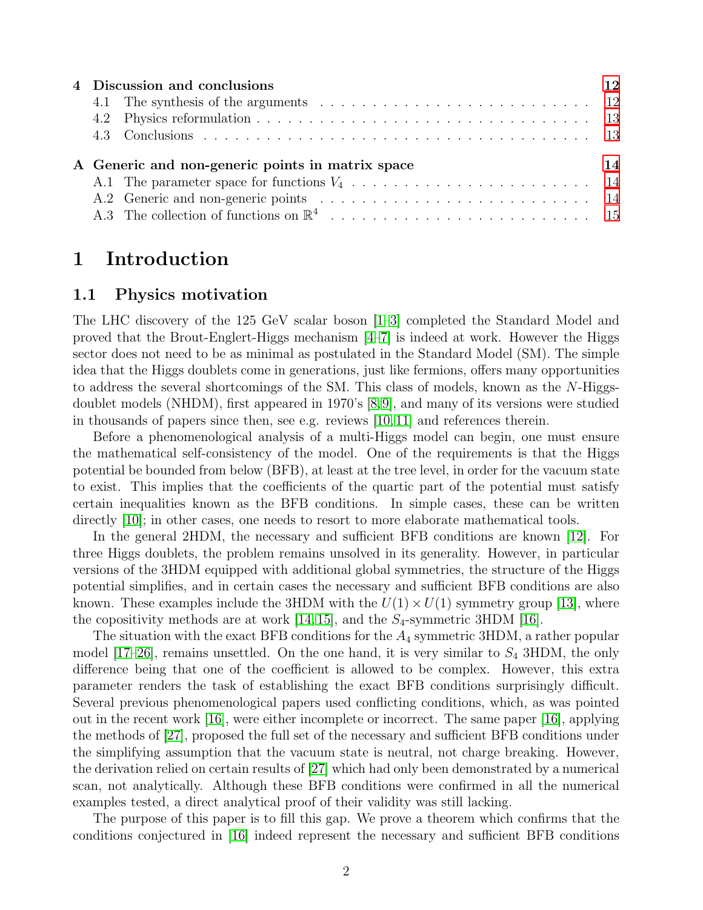| 4 Discussion and conclusions                     |  |  |  |  |
|--------------------------------------------------|--|--|--|--|
|                                                  |  |  |  |  |
|                                                  |  |  |  |  |
|                                                  |  |  |  |  |
|                                                  |  |  |  |  |
| A Generic and non-generic points in matrix space |  |  |  |  |
|                                                  |  |  |  |  |
|                                                  |  |  |  |  |
|                                                  |  |  |  |  |

### <span id="page-1-1"></span><span id="page-1-0"></span>1 Introduction

#### 1.1 Physics motivation

The LHC discovery of the 125 GeV scalar boson [\[1](#page-14-1)[–3\]](#page-15-0) completed the Standard Model and proved that the Brout-Englert-Higgs mechanism  $[4-7]$  $[4-7]$  is indeed at work. However the Higgs sector does not need to be as minimal as postulated in the Standard Model (SM). The simple idea that the Higgs doublets come in generations, just like fermions, offers many opportunities to address the several shortcomings of the SM. This class of models, known as the N-Higgsdoublet models (NHDM), first appeared in 1970's [\[8,](#page-15-3)[9\]](#page-15-4), and many of its versions were studied in thousands of papers since then, see e.g. reviews [\[10,](#page-15-5) [11\]](#page-15-6) and references therein.

Before a phenomenological analysis of a multi-Higgs model can begin, one must ensure the mathematical self-consistency of the model. One of the requirements is that the Higgs potential be bounded from below (BFB), at least at the tree level, in order for the vacuum state to exist. This implies that the coefficients of the quartic part of the potential must satisfy certain inequalities known as the BFB conditions. In simple cases, these can be written directly [\[10\]](#page-15-5); in other cases, one needs to resort to more elaborate mathematical tools.

In the general 2HDM, the necessary and sufficient BFB conditions are known [\[12\]](#page-15-7). For three Higgs doublets, the problem remains unsolved in its generality. However, in particular versions of the 3HDM equipped with additional global symmetries, the structure of the Higgs potential simplifies, and in certain cases the necessary and sufficient BFB conditions are also known. These examples include the 3HDM with the  $U(1) \times U(1)$  symmetry group [\[13\]](#page-15-8), where the copositivity methods are at work [\[14,](#page-15-9) [15\]](#page-15-10), and the  $S_4$ -symmetric 3HDM [\[16\]](#page-15-11).

The situation with the exact BFB conditions for the  $A_4$  symmetric 3HDM, a rather popular model  $[17–26]$  $[17–26]$ , remains unsettled. On the one hand, it is very similar to  $S_4$  3HDM, the only difference being that one of the coefficient is allowed to be complex. However, this extra parameter renders the task of establishing the exact BFB conditions surprisingly difficult. Several previous phenomenological papers used conflicting conditions, which, as was pointed out in the recent work [\[16\]](#page-15-11), were either incomplete or incorrect. The same paper [\[16\]](#page-15-11), applying the methods of [\[27\]](#page-16-1), proposed the full set of the necessary and sufficient BFB conditions under the simplifying assumption that the vacuum state is neutral, not charge breaking. However, the derivation relied on certain results of [\[27\]](#page-16-1) which had only been demonstrated by a numerical scan, not analytically. Although these BFB conditions were confirmed in all the numerical examples tested, a direct analytical proof of their validity was still lacking.

The purpose of this paper is to fill this gap. We prove a theorem which confirms that the conditions conjectured in [\[16\]](#page-15-11) indeed represent the necessary and sufficient BFB conditions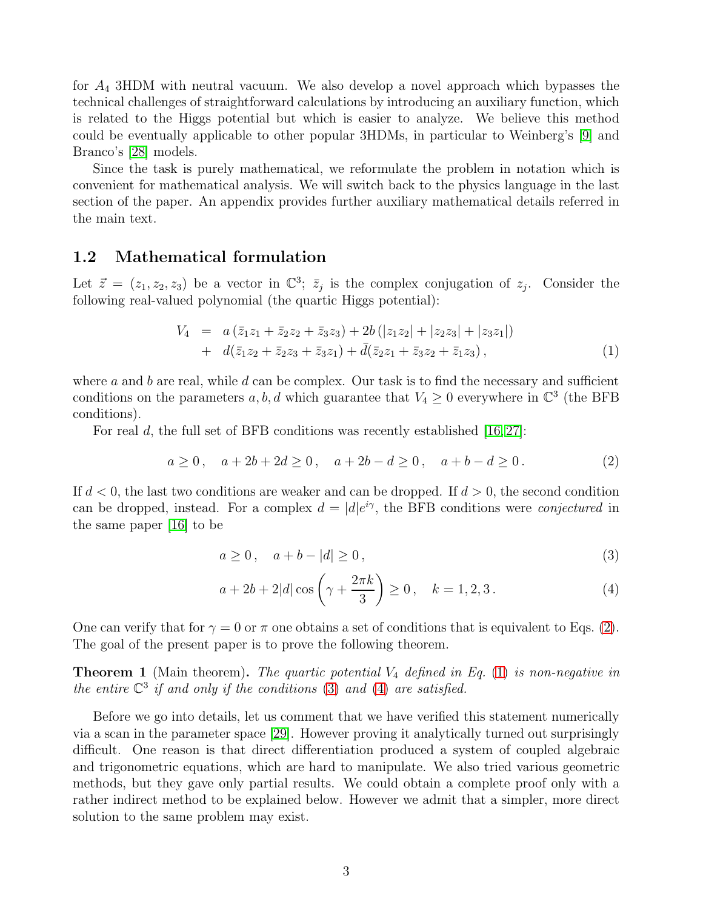for  $A_4$  3HDM with neutral vacuum. We also develop a novel approach which bypasses the technical challenges of straightforward calculations by introducing an auxiliary function, which is related to the Higgs potential but which is easier to analyze. We believe this method could be eventually applicable to other popular 3HDMs, in particular to Weinberg's [\[9\]](#page-15-4) and Branco's [\[28\]](#page-16-2) models.

Since the task is purely mathematical, we reformulate the problem in notation which is convenient for mathematical analysis. We will switch back to the physics language in the last section of the paper. An appendix provides further auxiliary mathematical details referred in the main text.

#### <span id="page-2-0"></span>1.2 Mathematical formulation

Let  $\vec{z} = (z_1, z_2, z_3)$  be a vector in  $\mathbb{C}^3$ ;  $\bar{z}_j$  is the complex conjugation of  $z_j$ . Consider the following real-valued polynomial (the quartic Higgs potential):

<span id="page-2-2"></span>
$$
V_4 = a(\bar{z}_1 z_1 + \bar{z}_2 z_2 + \bar{z}_3 z_3) + 2b(|z_1 z_2| + |z_2 z_3| + |z_3 z_1|) + d(\bar{z}_1 z_2 + \bar{z}_2 z_3 + \bar{z}_3 z_1) + \bar{d}(\bar{z}_2 z_1 + \bar{z}_3 z_2 + \bar{z}_1 z_3),
$$
\n(1)

where a and b are real, while d can be complex. Our task is to find the necessary and sufficient conditions on the parameters  $a, b, d$  which guarantee that  $V_4 \geq 0$  everywhere in  $\mathbb{C}^3$  (the BFB conditions).

For real d, the full set of BFB conditions was recently established  $[16, 27]$  $[16, 27]$ :

<span id="page-2-1"></span>
$$
a \ge 0, \quad a + 2b + 2d \ge 0, \quad a + 2b - d \ge 0, \quad a + b - d \ge 0. \tag{2}
$$

If  $d < 0$ , the last two conditions are weaker and can be dropped. If  $d > 0$ , the second condition can be dropped, instead. For a complex  $d = |d|e^{i\gamma}$ , the BFB conditions were *conjectured* in the same paper [\[16\]](#page-15-11) to be

<span id="page-2-3"></span>
$$
a \ge 0, \quad a + b - |d| \ge 0,
$$
\n<sup>(3)</sup>

$$
a + 2b + 2|d| \cos\left(\gamma + \frac{2\pi k}{3}\right) \ge 0, \quad k = 1, 2, 3.
$$
 (4)

One can verify that for  $\gamma = 0$  or  $\pi$  one obtains a set of conditions that is equivalent to Eqs. [\(2\)](#page-2-1). The goal of the present paper is to prove the following theorem.

<span id="page-2-4"></span>**Theorem 1** (Main theorem). The quartic potential  $V_4$  defined in Eq. [\(1\)](#page-2-2) is non-negative in the entire  $\mathbb{C}^3$  if and only if the conditions [\(3\)](#page-2-3) and [\(4\)](#page-2-3) are satisfied.

Before we go into details, let us comment that we have verified this statement numerically via a scan in the parameter space [\[29\]](#page-16-3). However proving it analytically turned out surprisingly difficult. One reason is that direct differentiation produced a system of coupled algebraic and trigonometric equations, which are hard to manipulate. We also tried various geometric methods, but they gave only partial results. We could obtain a complete proof only with a rather indirect method to be explained below. However we admit that a simpler, more direct solution to the same problem may exist.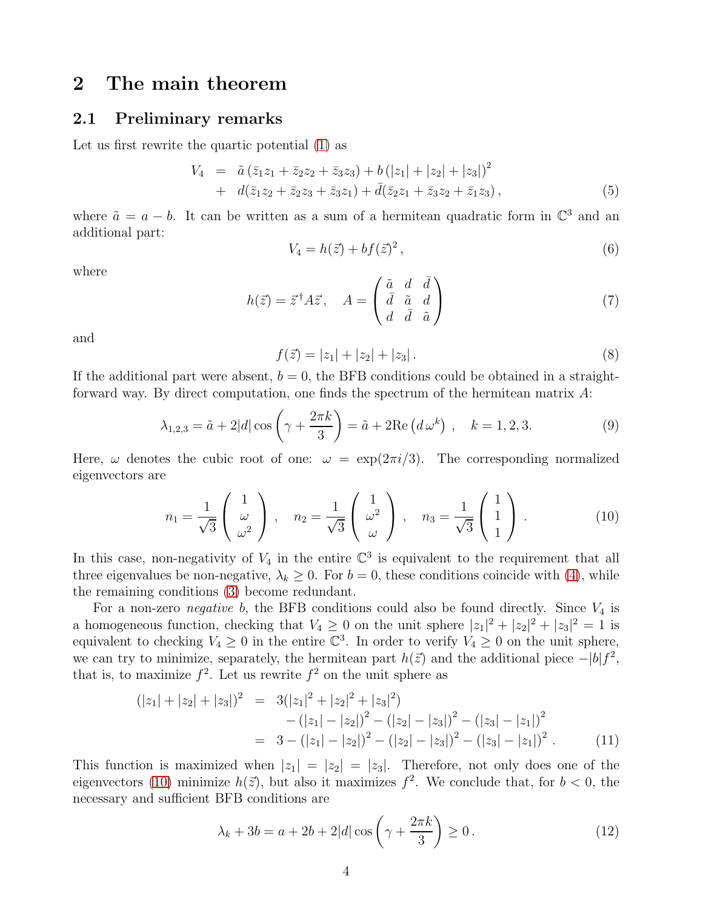## <span id="page-3-1"></span><span id="page-3-0"></span>2 The main theorem

#### 2.1 Preliminary remarks

Let us first rewrite the quartic potential [\(1\)](#page-2-2) as

$$
V_4 = \tilde{a} (\bar{z}_1 z_1 + \bar{z}_2 z_2 + \bar{z}_3 z_3) + b (|z_1| + |z_2| + |z_3|)^2 + d(\bar{z}_1 z_2 + \bar{z}_2 z_3 + \bar{z}_3 z_1) + \bar{d} (\bar{z}_2 z_1 + \bar{z}_3 z_2 + \bar{z}_1 z_3),
$$
\n(5)

where  $\tilde{a} = a - b$ . It can be written as a sum of a hermitean quadratic form in  $\mathbb{C}^3$  and an additional part:

$$
V_4 = h(\vec{z}) + bf(\vec{z})^2,
$$
\n(6)

where

$$
h(\vec{z}) = \vec{z}^{\dagger} A \vec{z}, \quad A = \begin{pmatrix} \tilde{a} & d & \bar{d} \\ \bar{d} & \tilde{a} & d \\ d & \bar{d} & \tilde{a} \end{pmatrix}
$$
(7)

and

$$
f(\vec{z}) = |z_1| + |z_2| + |z_3|.
$$
 (8)

If the additional part were absent,  $b = 0$ , the BFB conditions could be obtained in a straightforward way. By direct computation, one finds the spectrum of the hermitean matrix A:

<span id="page-3-3"></span>
$$
\lambda_{1,2,3} = \tilde{a} + 2|d| \cos\left(\gamma + \frac{2\pi k}{3}\right) = \tilde{a} + 2\text{Re}\left(d\,\omega^k\right) , \quad k = 1,2,3. \tag{9}
$$

Here,  $\omega$  denotes the cubic root of one:  $\omega = \exp(2\pi i/3)$ . The corresponding normalized eigenvectors are

<span id="page-3-2"></span>
$$
n_1 = \frac{1}{\sqrt{3}} \begin{pmatrix} 1 \\ \omega \\ \omega^2 \end{pmatrix}, \quad n_2 = \frac{1}{\sqrt{3}} \begin{pmatrix} 1 \\ \omega^2 \\ \omega \end{pmatrix}, \quad n_3 = \frac{1}{\sqrt{3}} \begin{pmatrix} 1 \\ 1 \\ 1 \end{pmatrix}.
$$
 (10)

In this case, non-negativity of  $V_4$  in the entire  $\mathbb{C}^3$  is equivalent to the requirement that all three eigenvalues be non-negative,  $\lambda_k \geq 0$ . For  $b = 0$ , these conditions coincide with [\(4\)](#page-2-3), while the remaining conditions [\(3\)](#page-2-3) become redundant.

For a non-zero *negative* b, the BFB conditions could also be found directly. Since  $V_4$  is a homogeneous function, checking that  $V_4 \geq 0$  on the unit sphere  $|z_1|^2 + |z_2|^2 + |z_3|^2 = 1$  is equivalent to checking  $V_4 \geq 0$  in the entire  $\mathbb{C}^3$ . In order to verify  $V_4 \geq 0$  on the unit sphere, we can try to minimize, separately, the hermitean part  $h(\vec{z})$  and the additional piece  $-|b|f^2$ , that is, to maximize  $f^2$ . Let us rewrite  $f^2$  on the unit sphere as

$$
(|z_1| + |z_2| + |z_3|)^2 = 3(|z_1|^2 + |z_2|^2 + |z_3|^2)
$$
  
 
$$
- (|z_1| - |z_2|)^2 - (|z_2| - |z_3|)^2 - (|z_3| - |z_1|)^2
$$
  
 
$$
= 3 - (|z_1| - |z_2|)^2 - (|z_2| - |z_3|)^2 - (|z_3| - |z_1|)^2.
$$
 (11)

This function is maximized when  $|z_1| = |z_2| = |z_3|$ . Therefore, not only does one of the eigenvectors [\(10\)](#page-3-2) minimize  $h(\vec{z})$ , but also it maximizes  $f^2$ . We conclude that, for  $b < 0$ , the necessary and sufficient BFB conditions are

$$
\lambda_k + 3b = a + 2b + 2|d|\cos\left(\gamma + \frac{2\pi k}{3}\right) \ge 0.
$$
\n<sup>(12)</sup>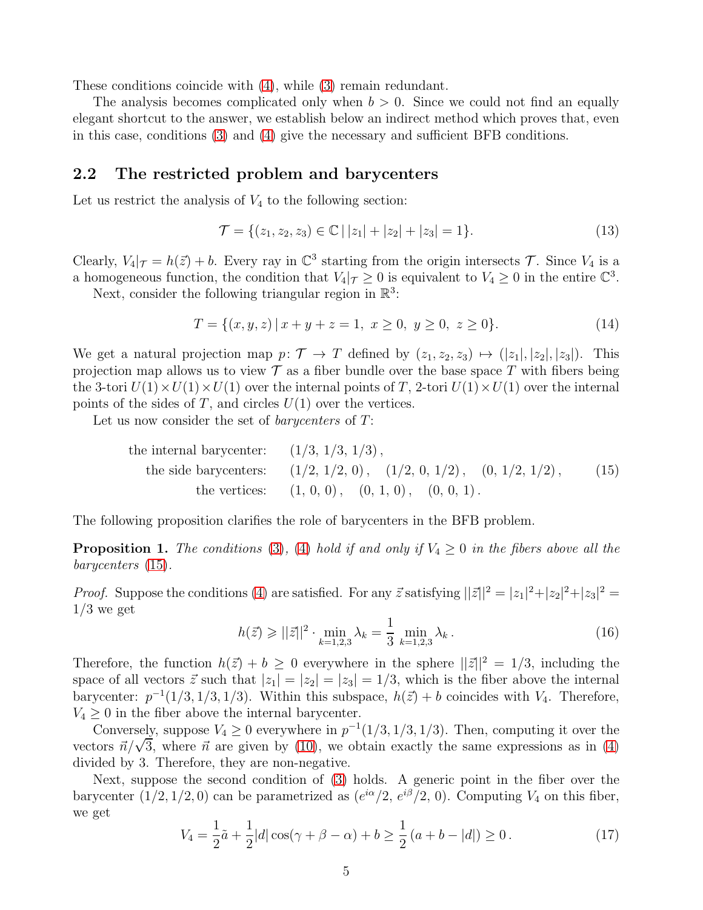These conditions coincide with [\(4\)](#page-2-3), while [\(3\)](#page-2-3) remain redundant.

The analysis becomes complicated only when  $b > 0$ . Since we could not find an equally elegant shortcut to the answer, we establish below an indirect method which proves that, even in this case, conditions [\(3\)](#page-2-3) and [\(4\)](#page-2-3) give the necessary and sufficient BFB conditions.

#### <span id="page-4-0"></span>2.2 The restricted problem and barycenters

Let us restrict the analysis of  $V_4$  to the following section:

$$
\mathcal{T} = \{ (z_1, z_2, z_3) \in \mathbb{C} \mid |z_1| + |z_2| + |z_3| = 1 \}. \tag{13}
$$

Clearly,  $V_4|_{\mathcal{T}} = h(\vec{z}) + b$ . Every ray in  $\mathbb{C}^3$  starting from the origin intersects  $\mathcal{T}$ . Since  $V_4$  is a a homogeneous function, the condition that  $V_4|\tau \geq 0$  is equivalent to  $V_4 \geq 0$  in the entire  $\mathbb{C}^3$ .

Next, consider the following triangular region in  $\mathbb{R}^3$ :

$$
T = \{(x, y, z) \mid x + y + z = 1, \ x \ge 0, \ y \ge 0, \ z \ge 0\}.
$$
 (14)

We get a natural projection map  $p: \mathcal{T} \to T$  defined by  $(z_1, z_2, z_3) \mapsto (|z_1|, |z_2|, |z_3|)$ . This projection map allows us to view  $\mathcal T$  as a fiber bundle over the base space T with fibers being the 3-tori  $U(1) \times U(1) \times U(1)$  over the internal points of T, 2-tori  $U(1) \times U(1)$  over the internal points of the sides of  $T$ , and circles  $U(1)$  over the vertices.

Let us now consider the set of *barycenters* of  $T$ :

<span id="page-4-1"></span>

| the internal barycenter: $(1/3, 1/3, 1/3)$ , |                                                                      |      |
|----------------------------------------------|----------------------------------------------------------------------|------|
|                                              | the side barycenters: $(1/2, 1/2, 0), (1/2, 0, 1/2), (0, 1/2, 1/2),$ | (15) |
|                                              | the vertices: $(1, 0, 0), (0, 1, 0), (0, 0, 1).$                     |      |

The following proposition clarifies the role of barycenters in the BFB problem.

<span id="page-4-2"></span>**Proposition 1.** The conditions [\(3\)](#page-2-3), [\(4\)](#page-2-3) hold if and only if  $V_4 \geq 0$  in the fibers above all the barycenters [\(15\)](#page-4-1).

*Proof.* Suppose the conditions [\(4\)](#page-2-3) are satisfied. For any  $\vec{z}$  satisfying  $||\vec{z}||^2 = |z_1|^2 + |z_2|^2 + |z_3|^2 =$  $1/3$  we get

$$
h(\vec{z}) \ge ||\vec{z}||^2 \cdot \min_{k=1,2,3} \lambda_k = \frac{1}{3} \min_{k=1,2,3} \lambda_k.
$$
 (16)

Therefore, the function  $h(\vec{z}) + b \ge 0$  everywhere in the sphere  $||\vec{z}||^2 = 1/3$ , including the space of all vectors  $\vec{z}$  such that  $|z_1| = |z_2| = |z_3| = 1/3$ , which is the fiber above the internal barycenter:  $p^{-1}(1/3, 1/3, 1/3)$ . Within this subspace,  $h(\vec{z}) + b$  coincides with  $V_4$ . Therefore,  $V_4 \geq 0$  in the fiber above the internal barycenter.

Conversely, suppose  $V_4 \geq 0$  everywhere in  $p^{-1}(1/3, 1/3, 1/3)$ . Then, computing it over the vectors  $\vec{n}/\sqrt{3}$ , where  $\vec{n}$  are given by [\(10\)](#page-3-2), we obtain exactly the same expressions as in [\(4\)](#page-2-3) divided by 3. Therefore, they are non-negative.

Next, suppose the second condition of [\(3\)](#page-2-3) holds. A generic point in the fiber over the barycenter  $(1/2, 1/2, 0)$  can be parametrized as  $(e^{i\alpha}/2, e^{i\beta}/2, 0)$ . Computing  $V_4$  on this fiber, we get

$$
V_4 = \frac{1}{2}\tilde{a} + \frac{1}{2}|d|\cos(\gamma + \beta - \alpha) + b \ge \frac{1}{2}(a + b - |d|) \ge 0.
$$
 (17)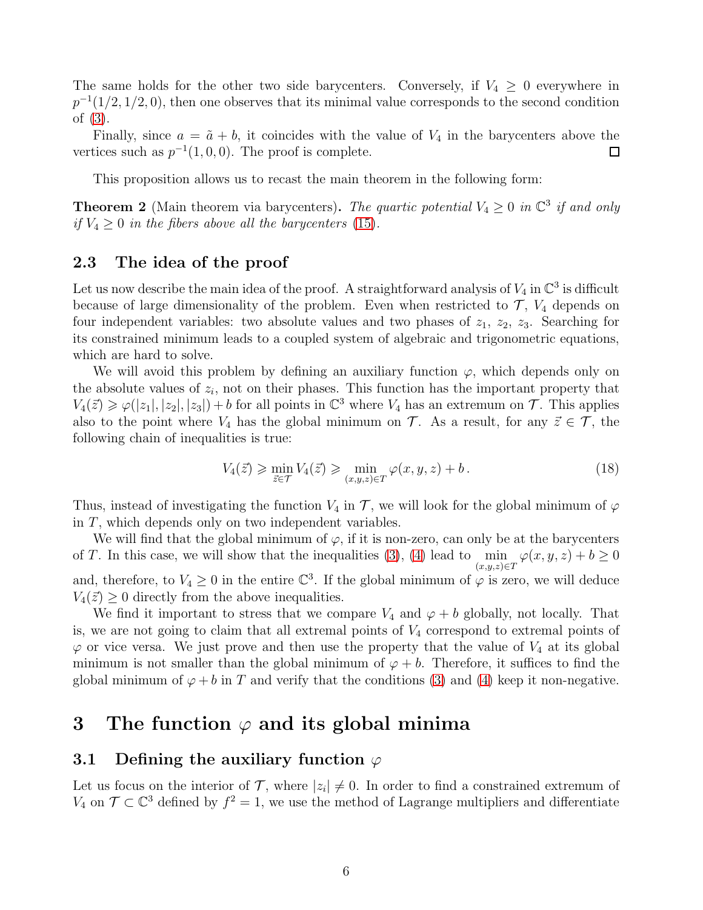The same holds for the other two side barycenters. Conversely, if  $V_4 \geq 0$  everywhere in  $p^{-1}(1/2, 1/2, 0)$ , then one observes that its minimal value corresponds to the second condition of [\(3\)](#page-2-3).

Finally, since  $a = \tilde{a} + b$ , it coincides with the value of  $V_4$  in the barycenters above the vertices such as  $p^{-1}(1, 0, 0)$ . The proof is complete.  $\Box$ 

This proposition allows us to recast the main theorem in the following form:

**Theorem 2** (Main theorem via barycenters). The quartic potential  $V_4 \geq 0$  in  $\mathbb{C}^3$  if and only if  $V_4 \geq 0$  in the fibers above all the barycenters [\(15\)](#page-4-1).

#### <span id="page-5-0"></span>2.3 The idea of the proof

Let us now describe the main idea of the proof. A straightforward analysis of  $V_4$  in  $\mathbb{C}^3$  is difficult because of large dimensionality of the problem. Even when restricted to  $\mathcal{T}$ ,  $V_4$  depends on four independent variables: two absolute values and two phases of  $z_1$ ,  $z_2$ ,  $z_3$ . Searching for its constrained minimum leads to a coupled system of algebraic and trigonometric equations, which are hard to solve.

We will avoid this problem by defining an auxiliary function  $\varphi$ , which depends only on the absolute values of  $z_i$ , not on their phases. This function has the important property that  $V_4(\vec{z}) \geq \varphi(|z_1|, |z_2|, |z_3|) + b$  for all points in  $\mathbb{C}^3$  where  $V_4$  has an extremum on  $\mathcal{T}$ . This applies also to the point where  $V_4$  has the global minimum on  $\mathcal T$ . As a result, for any  $\vec{z} \in \mathcal T$ , the following chain of inequalities is true:

<span id="page-5-3"></span>
$$
V_4(\vec{z}) \ge \min_{\vec{z} \in \mathcal{T}} V_4(\vec{z}) \ge \min_{(x,y,z) \in \mathcal{T}} \varphi(x,y,z) + b. \tag{18}
$$

Thus, instead of investigating the function  $V_4$  in  $\mathcal T$ , we will look for the global minimum of  $\varphi$ in T, which depends only on two independent variables.

We will find that the global minimum of  $\varphi$ , if it is non-zero, can only be at the barycenters of T. In this case, we will show that the inequalities [\(3\)](#page-2-3), [\(4\)](#page-2-3) lead to  $\min_{(x,y,z)\in T} \varphi(x,y,z) + b \ge 0$ and, therefore, to  $V_4 \geq 0$  in the entire  $\mathbb{C}^3$ . If the global minimum of  $\varphi$  is zero, we will deduce  $V_4(\vec{z}) \geq 0$  directly from the above inequalities.

We find it important to stress that we compare  $V_4$  and  $\varphi + b$  globally, not locally. That is, we are not going to claim that all extremal points of  $V_4$  correspond to extremal points of  $\varphi$  or vice versa. We just prove and then use the property that the value of  $V_4$  at its global minimum is not smaller than the global minimum of  $\varphi + b$ . Therefore, it suffices to find the global minimum of  $\varphi + b$  in T and verify that the conditions [\(3\)](#page-2-3) and [\(4\)](#page-2-3) keep it non-negative.

### <span id="page-5-1"></span>3 The function  $\varphi$  and its global minima

#### <span id="page-5-2"></span>3.1 Defining the auxiliary function  $\varphi$

Let us focus on the interior of  $\mathcal{T}$ , where  $|z_i| \neq 0$ . In order to find a constrained extremum of  $V_4$  on  $\mathcal{T} \subset \mathbb{C}^3$  defined by  $f^2 = 1$ , we use the method of Lagrange multipliers and differentiate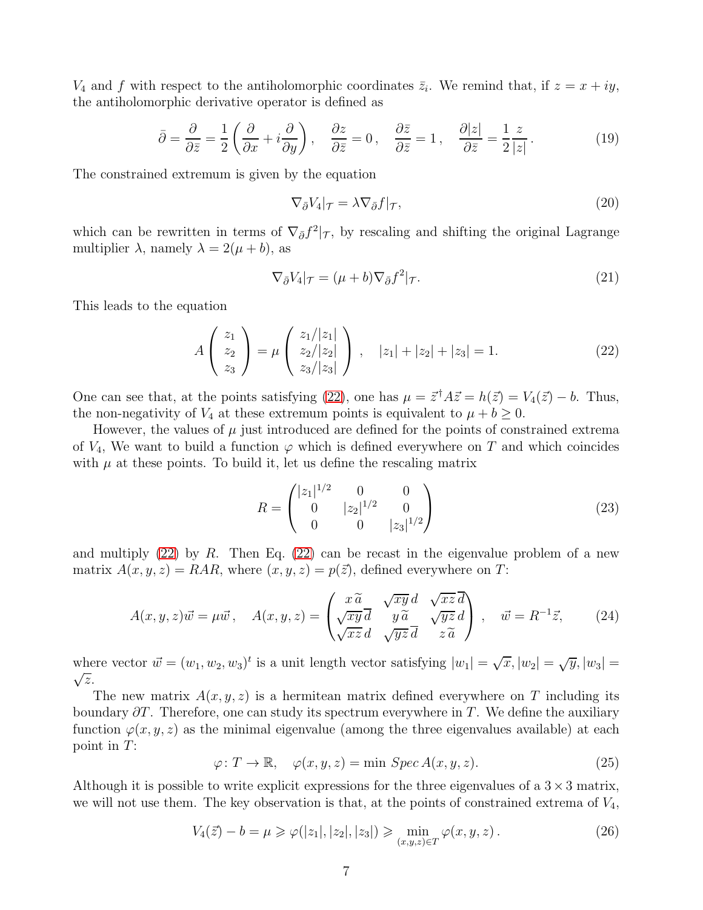$V_4$  and f with respect to the antiholomorphic coordinates  $\bar{z}_i$ . We remind that, if  $z = x + iy$ , the antiholomorphic derivative operator is defined as

$$
\bar{\partial} = \frac{\partial}{\partial \bar{z}} = \frac{1}{2} \left( \frac{\partial}{\partial x} + i \frac{\partial}{\partial y} \right), \quad \frac{\partial z}{\partial \bar{z}} = 0, \quad \frac{\partial \bar{z}}{\partial \bar{z}} = 1, \quad \frac{\partial |z|}{\partial \bar{z}} = \frac{1}{2} \frac{z}{|z|}.
$$
 (19)

The constrained extremum is given by the equation

$$
\nabla_{\bar{\partial}} V_4|_{\mathcal{T}} = \lambda \nabla_{\bar{\partial}} f|_{\mathcal{T}},\tag{20}
$$

which can be rewritten in terms of  $\nabla_{\bar{\partial}} f^2 |_{\mathcal{T}}$ , by rescaling and shifting the original Lagrange multiplier  $\lambda$ , namely  $\lambda = 2(\mu + b)$ , as

$$
\nabla_{\bar{\partial}} V_4|_{\mathcal{T}} = (\mu + b)\nabla_{\bar{\partial}} f^2|_{\mathcal{T}}.\tag{21}
$$

This leads to the equation

<span id="page-6-0"></span>
$$
A\begin{pmatrix} z_1 \\ z_2 \\ z_3 \end{pmatrix} = \mu \begin{pmatrix} z_1/|z_1| \\ z_2/|z_2| \\ z_3/|z_3| \end{pmatrix}, \quad |z_1| + |z_2| + |z_3| = 1. \tag{22}
$$

One can see that, at the points satisfying [\(22\)](#page-6-0), one has  $\mu = \vec{z}^{\dagger} A \vec{z} = h(\vec{z}) = V_4(\vec{z}) - b$ . Thus, the non-negativity of  $V_4$  at these extremum points is equivalent to  $\mu + b \geq 0$ .

However, the values of  $\mu$  just introduced are defined for the points of constrained extrema of  $V_4$ , We want to build a function  $\varphi$  which is defined everywhere on T and which coincides with  $\mu$  at these points. To build it, let us define the rescaling matrix

$$
R = \begin{pmatrix} |z_1|^{1/2} & 0 & 0\\ 0 & |z_2|^{1/2} & 0\\ 0 & 0 & |z_3|^{1/2} \end{pmatrix}
$$
 (23)

and multiply  $(22)$  by R. Then Eq.  $(22)$  can be recast in the eigenvalue problem of a new matrix  $A(x, y, z) = RAR$ , where  $(x, y, z) = p(\vec{z})$ , defined everywhere on T:

$$
A(x, y, z)\vec{w} = \mu \vec{w}, \quad A(x, y, z) = \begin{pmatrix} x\widetilde{a} & \sqrt{xy}d & \sqrt{xz}\ \overline{d} \\ \sqrt{xy}\overline{d} & y\widetilde{a} & \sqrt{yz}d \\ \sqrt{xz}d & \sqrt{yz}\overline{d} & z\widetilde{a} \end{pmatrix}, \quad \vec{w} = R^{-1}\vec{z}, \tag{24}
$$

where vector  $\vec{w} = (w_1, w_2, w_3)^t$  is a unit length vector satisfying  $|w_1| = \sqrt{x}$ ,  $|w_2| = \sqrt{y}$ ,  $|w_3| = \sqrt{z}$  $\sqrt{z}$ .

The new matrix  $A(x, y, z)$  is a hermitean matrix defined everywhere on T including its boundary  $\partial T$ . Therefore, one can study its spectrum everywhere in T. We define the auxiliary function  $\varphi(x, y, z)$  as the minimal eigenvalue (among the three eigenvalues available) at each point in T:

<span id="page-6-1"></span>
$$
\varphi \colon T \to \mathbb{R}, \quad \varphi(x, y, z) = \min \, \operatorname{Spec} A(x, y, z). \tag{25}
$$

Although it is possible to write explicit expressions for the three eigenvalues of a  $3 \times 3$  matrix, we will not use them. The key observation is that, at the points of constrained extrema of  $V_4$ ,

$$
V_4(\vec{z}) - b = \mu \ge \varphi(|z_1|, |z_2|, |z_3|) \ge \min_{(x, y, z) \in T} \varphi(x, y, z).
$$
 (26)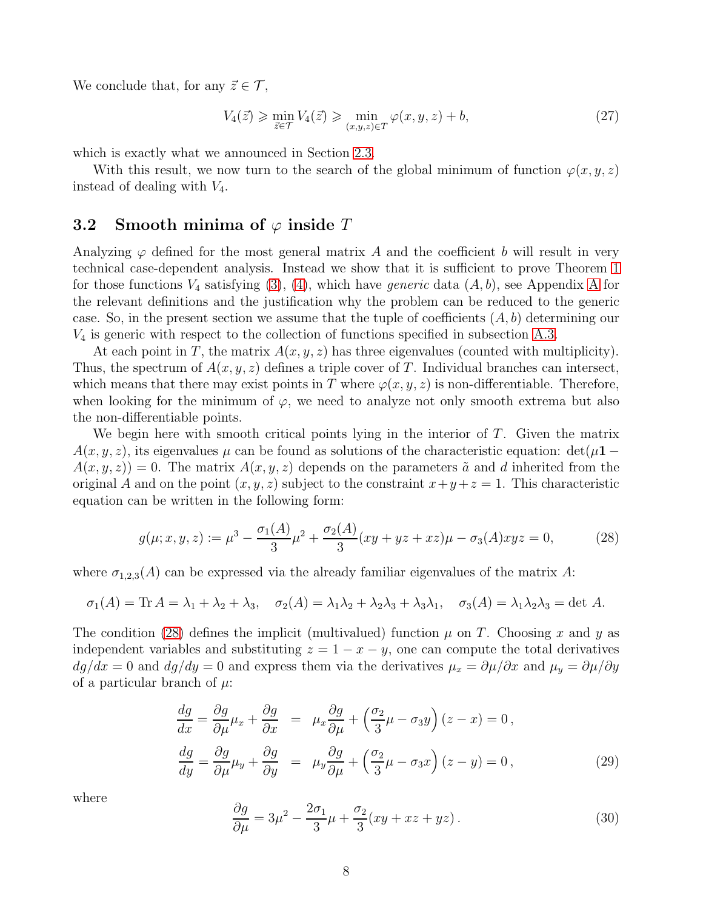We conclude that, for any  $\vec{z} \in \mathcal{T}$ ,

$$
V_4(\vec{z}) \ge \min_{\vec{z} \in \mathcal{T}} V_4(\vec{z}) \ge \min_{(x,y,z)\in\mathcal{T}} \varphi(x,y,z) + b,\tag{27}
$$

which is exactly what we announced in Section [2.3.](#page-5-0)

With this result, we now turn to the search of the global minimum of function  $\varphi(x, y, z)$ instead of dealing with  $V_4$ .

#### <span id="page-7-0"></span>**3.2** Smooth minima of  $\varphi$  inside T

Analyzing  $\varphi$  defined for the most general matrix A and the coefficient b will result in very technical case-dependent analysis. Instead we show that it is sufficient to prove Theorem [1](#page-2-4) for those functions  $V_4$  satisfying [\(3\)](#page-2-3), [\(4\)](#page-2-3), which have *generic* data  $(A, b)$ , see [A](#page-13-0)ppendix A for the relevant definitions and the justification why the problem can be reduced to the generic case. So, in the present section we assume that the tuple of coefficients  $(A, b)$  determining our  $V_4$  is generic with respect to the collection of functions specified in subsection [A.3.](#page-14-0)

At each point in T, the matrix  $A(x, y, z)$  has three eigenvalues (counted with multiplicity). Thus, the spectrum of  $A(x, y, z)$  defines a triple cover of T. Individual branches can intersect, which means that there may exist points in T where  $\varphi(x, y, z)$  is non-differentiable. Therefore, when looking for the minimum of  $\varphi$ , we need to analyze not only smooth extrema but also the non-differentiable points.

We begin here with smooth critical points lying in the interior of  $T$ . Given the matrix  $A(x, y, z)$ , its eigenvalues  $\mu$  can be found as solutions of the characteristic equation: det( $\mu$ 1 −  $A(x, y, z) = 0$ . The matrix  $A(x, y, z)$  depends on the parameters  $\tilde{a}$  and d inherited from the original A and on the point  $(x, y, z)$  subject to the constraint  $x + y + z = 1$ . This characteristic equation can be written in the following form:

<span id="page-7-1"></span>
$$
g(\mu; x, y, z) := \mu^3 - \frac{\sigma_1(A)}{3}\mu^2 + \frac{\sigma_2(A)}{3}(xy + yz + xz)\mu - \sigma_3(A)xyz = 0,
$$
 (28)

where  $\sigma_{1,2,3}(A)$  can be expressed via the already familiar eigenvalues of the matrix A:

$$
\sigma_1(A) = \text{Tr } A = \lambda_1 + \lambda_2 + \lambda_3, \quad \sigma_2(A) = \lambda_1 \lambda_2 + \lambda_2 \lambda_3 + \lambda_3 \lambda_1, \quad \sigma_3(A) = \lambda_1 \lambda_2 \lambda_3 = \det A.
$$

The condition [\(28\)](#page-7-1) defines the implicit (multivalued) function  $\mu$  on T. Choosing x and y as independent variables and substituting  $z = 1 - x - y$ , one can compute the total derivatives  $dg/dx = 0$  and  $dg/dy = 0$  and express them via the derivatives  $\mu_x = \partial \mu / \partial x$  and  $\mu_y = \partial \mu / \partial y$ of a particular branch of  $\mu$ :

$$
\frac{dg}{dx} = \frac{\partial g}{\partial \mu} \mu_x + \frac{\partial g}{\partial x} = \mu_x \frac{\partial g}{\partial \mu} + \left(\frac{\sigma_2}{3} \mu - \sigma_3 y\right) (z - x) = 0,
$$
  

$$
\frac{dg}{dy} = \frac{\partial g}{\partial \mu} \mu_y + \frac{\partial g}{\partial y} = \mu_y \frac{\partial g}{\partial \mu} + \left(\frac{\sigma_2}{3} \mu - \sigma_3 x\right) (z - y) = 0,
$$
 (29)

where

$$
\frac{\partial g}{\partial \mu} = 3\mu^2 - \frac{2\sigma_1}{3}\mu + \frac{\sigma_2}{3}(xy + xz + yz). \tag{30}
$$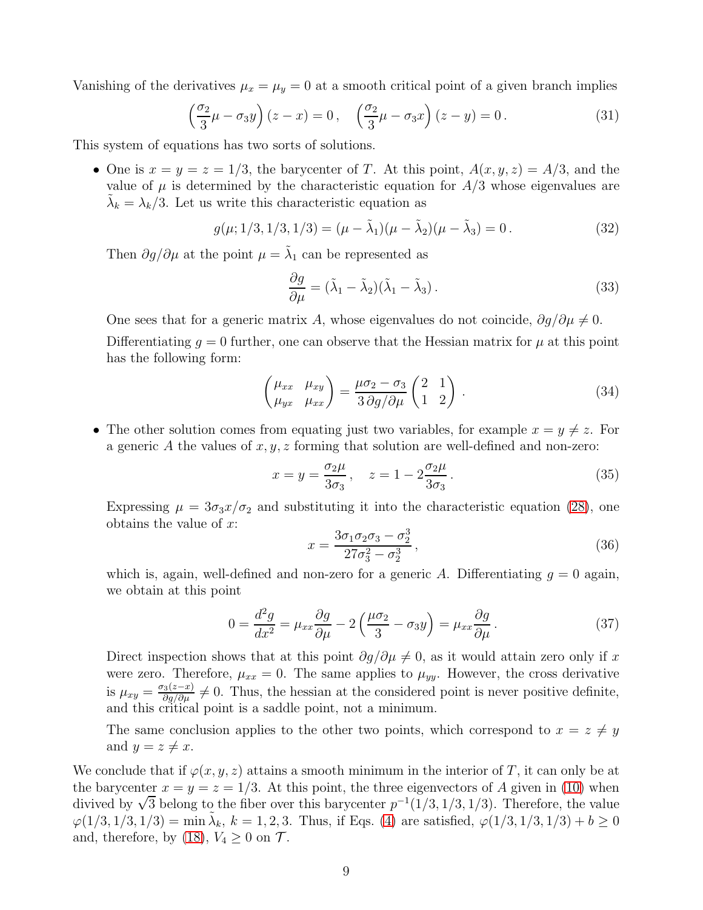Vanishing of the derivatives  $\mu_x = \mu_y = 0$  at a smooth critical point of a given branch implies

$$
\left(\frac{\sigma_2}{3}\mu - \sigma_3 y\right)(z - x) = 0, \quad \left(\frac{\sigma_2}{3}\mu - \sigma_3 x\right)(z - y) = 0. \tag{31}
$$

This system of equations has two sorts of solutions.

• One is  $x = y = z = 1/3$ , the barycenter of T. At this point,  $A(x, y, z) = A/3$ , and the value of  $\mu$  is determined by the characteristic equation for  $A/3$  whose eigenvalues are  $\tilde{\lambda}_k = \lambda_k/3$ . Let us write this characteristic equation as

$$
g(\mu; 1/3, 1/3, 1/3) = (\mu - \tilde{\lambda}_1)(\mu - \tilde{\lambda}_2)(\mu - \tilde{\lambda}_3) = 0.
$$
 (32)

Then  $\partial g / \partial \mu$  at the point  $\mu = \tilde{\lambda}_1$  can be represented as

<span id="page-8-0"></span>
$$
\frac{\partial g}{\partial \mu} = (\tilde{\lambda}_1 - \tilde{\lambda}_2)(\tilde{\lambda}_1 - \tilde{\lambda}_3).
$$
\n(33)

One sees that for a generic matrix A, whose eigenvalues do not coincide,  $\partial g/\partial \mu \neq 0$ .

Differentiating  $q = 0$  further, one can observe that the Hessian matrix for  $\mu$  at this point has the following form:

$$
\begin{pmatrix} \mu_{xx} & \mu_{xy} \\ \mu_{yx} & \mu_{xx} \end{pmatrix} = \frac{\mu \sigma_2 - \sigma_3}{3 \partial g / \partial \mu} \begin{pmatrix} 2 & 1 \\ 1 & 2 \end{pmatrix} . \tag{34}
$$

• The other solution comes from equating just two variables, for example  $x = y \neq z$ . For a generic A the values of  $x, y, z$  forming that solution are well-defined and non-zero:

$$
x = y = \frac{\sigma_2 \mu}{3\sigma_3}, \quad z = 1 - 2\frac{\sigma_2 \mu}{3\sigma_3}.
$$
\n
$$
(35)
$$

Expressing  $\mu = 3\sigma_3 x/\sigma_2$  and substituting it into the characteristic equation [\(28\)](#page-7-1), one obtains the value of  $x$ :

$$
x = \frac{3\sigma_1\sigma_2\sigma_3 - \sigma_2^3}{27\sigma_3^2 - \sigma_2^3},
$$
\n(36)

which is, again, well-defined and non-zero for a generic A. Differentiating  $g = 0$  again, we obtain at this point

$$
0 = \frac{d^2g}{dx^2} = \mu_{xx}\frac{\partial g}{\partial \mu} - 2\left(\frac{\mu\sigma_2}{3} - \sigma_3 y\right) = \mu_{xx}\frac{\partial g}{\partial \mu}.
$$
 (37)

Direct inspection shows that at this point  $\partial g/\partial \mu \neq 0$ , as it would attain zero only if x were zero. Therefore,  $\mu_{xx} = 0$ . The same applies to  $\mu_{yy}$ . However, the cross derivative is  $\mu_{xy} = \frac{\sigma_3(z-x)}{\partial g/\partial \mu} \neq 0$ . Thus, the hessian at the considered point is never positive definite, and this critical point is a saddle point, not a minimum.

The same conclusion applies to the other two points, which correspond to  $x = z \neq y$ and  $y = z \neq x$ .

We conclude that if  $\varphi(x, y, z)$  attains a smooth minimum in the interior of T, it can only be at the barycenter  $x = y = z = 1/3$ . At this point, the three eigenvectors of A given in [\(10\)](#page-3-2) when divived by  $\sqrt{3}$  belong to the fiber over this barycenter  $p^{-1}(1/3, 1/3, 1/3)$ . Therefore, the value  $\varphi(1/3, 1/3, 1/3) = \min_{k} \tilde{\lambda}_k, k = 1, 2, 3$ . Thus, if Eqs. [\(4\)](#page-2-3) are satisfied,  $\varphi(1/3, 1/3, 1/3) + b \ge 0$ and, therefore, by [\(18\)](#page-5-3),  $V_4 \geq 0$  on  $\mathcal{T}$ .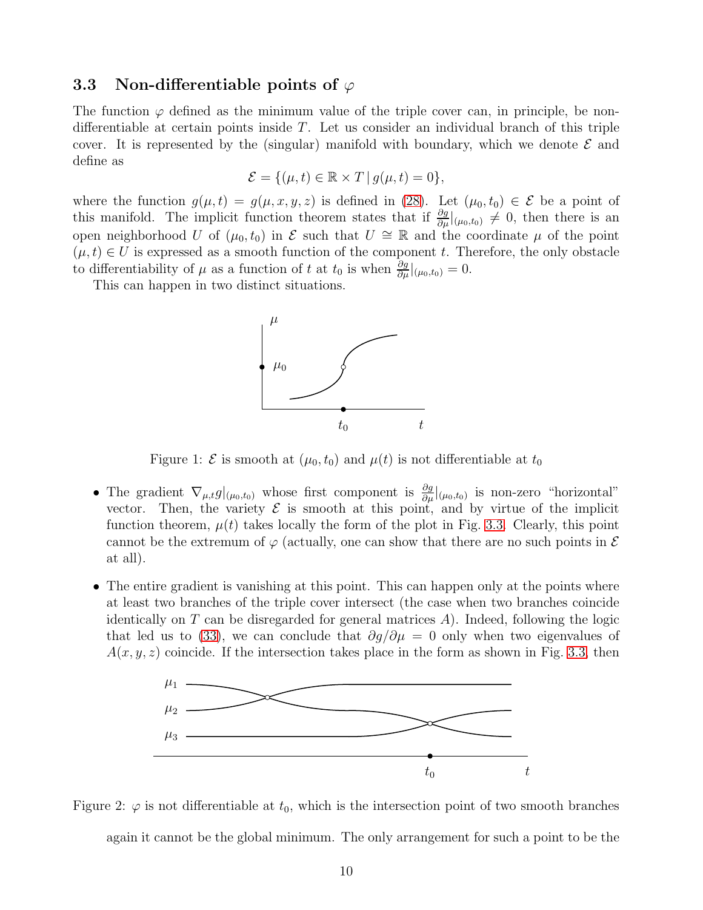#### <span id="page-9-0"></span>3.3 Non-differentiable points of  $\varphi$

The function  $\varphi$  defined as the minimum value of the triple cover can, in principle, be nondifferentiable at certain points inside  $T$ . Let us consider an individual branch of this triple cover. It is represented by the (singular) manifold with boundary, which we denote  $\mathcal E$  and define as

$$
\mathcal{E} = \{(\mu, t) \in \mathbb{R} \times T \mid g(\mu, t) = 0\},\
$$

where the function  $g(\mu, t) = g(\mu, x, y, z)$  is defined in [\(28\)](#page-7-1). Let  $(\mu_0, t_0) \in \mathcal{E}$  be a point of this manifold. The implicit function theorem states that if  $\frac{\partial g}{\partial \mu}|_{(\mu_0,t_0)} \neq 0$ , then there is an open neighborhood U of  $(\mu_0, t_0)$  in E such that  $U \cong \mathbb{R}$  and the coordinate  $\mu$  of the point  $(\mu, t) \in U$  is expressed as a smooth function of the component t. Therefore, the only obstacle to differentiability of  $\mu$  as a function of t at  $t_0$  is when  $\frac{\partial g}{\partial \mu}|_{(\mu_0,t_0)} = 0$ .

This can happen in two distinct situations.



<span id="page-9-1"></span>Figure 1:  $\mathcal E$  is smooth at  $(\mu_0, t_0)$  and  $\mu(t)$  is not differentiable at  $t_0$ 

- The gradient  $\nabla_{\mu,t} g|_{(\mu_0,t_0)}$  whose first component is  $\frac{\partial g}{\partial \mu}|_{(\mu_0,t_0)}$  is non-zero "horizontal" vector. Then, the variety  $\mathcal E$  is smooth at this point, and by virtue of the implicit function theorem,  $\mu(t)$  takes locally the form of the plot in Fig. [3.3.](#page-9-0) Clearly, this point cannot be the extremum of  $\varphi$  (actually, one can show that there are no such points in  $\mathcal E$ at all).
- The entire gradient is vanishing at this point. This can happen only at the points where at least two branches of the triple cover intersect (the case when two branches coincide identically on  $T$  can be disregarded for general matrices  $A$ ). Indeed, following the logic that led us to [\(33\)](#page-8-0), we can conclude that  $\partial g/\partial \mu = 0$  only when two eigenvalues of  $A(x, y, z)$  coincide. If the intersection takes place in the form as shown in Fig. [3.3,](#page-9-1) then



<span id="page-9-2"></span>Figure 2:  $\varphi$  is not differentiable at  $t_0$ , which is the intersection point of two smooth branches again it cannot be the global minimum. The only arrangement for such a point to be the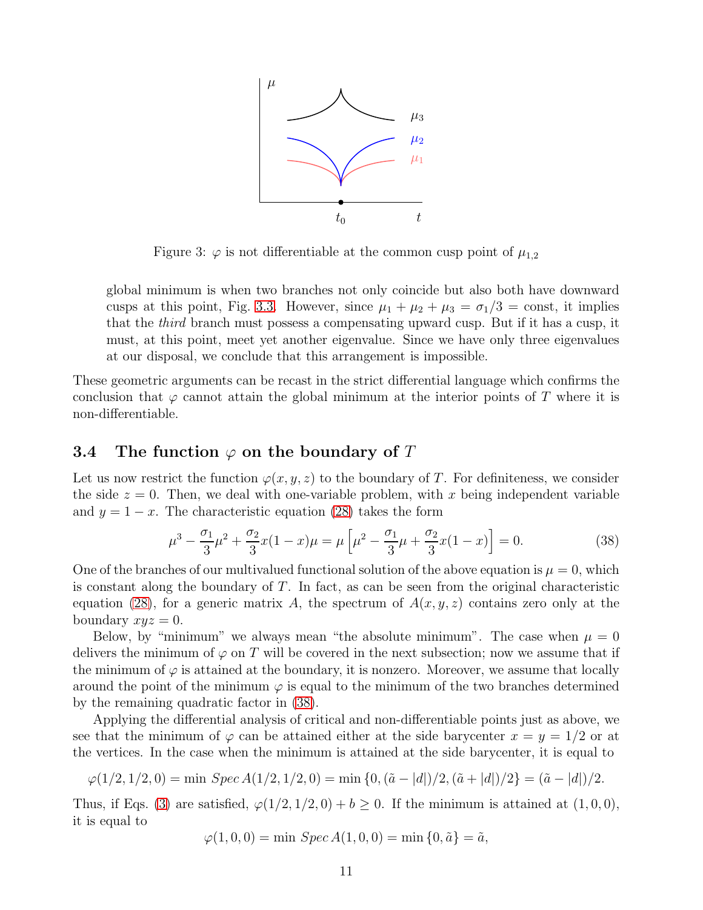

Figure 3:  $\varphi$  is not differentiable at the common cusp point of  $\mu_{1,2}$ 

global minimum is when two branches not only coincide but also both have downward cusps at this point, Fig. [3.3.](#page-9-2) However, since  $\mu_1 + \mu_2 + \mu_3 = \sigma_1/3 = \text{const}$ , it implies that the third branch must possess a compensating upward cusp. But if it has a cusp, it must, at this point, meet yet another eigenvalue. Since we have only three eigenvalues at our disposal, we conclude that this arrangement is impossible.

These geometric arguments can be recast in the strict differential language which confirms the conclusion that  $\varphi$  cannot attain the global minimum at the interior points of T where it is non-differentiable.

#### <span id="page-10-0"></span>3.4 The function  $\varphi$  on the boundary of T

Let us now restrict the function  $\varphi(x, y, z)$  to the boundary of T. For definiteness, we consider the side  $z = 0$ . Then, we deal with one-variable problem, with x being independent variable and  $y = 1 - x$ . The characteristic equation [\(28\)](#page-7-1) takes the form

<span id="page-10-1"></span>
$$
\mu^3 - \frac{\sigma_1}{3}\mu^2 + \frac{\sigma_2}{3}x(1-x)\mu = \mu\left[\mu^2 - \frac{\sigma_1}{3}\mu + \frac{\sigma_2}{3}x(1-x)\right] = 0.
$$
 (38)

One of the branches of our multivalued functional solution of the above equation is  $\mu = 0$ , which is constant along the boundary of  $T$ . In fact, as can be seen from the original characteristic equation [\(28\)](#page-7-1), for a generic matrix A, the spectrum of  $A(x, y, z)$  contains zero only at the boundary  $xyz = 0$ .

Below, by "minimum" we always mean "the absolute minimum". The case when  $\mu = 0$ delivers the minimum of  $\varphi$  on T will be covered in the next subsection; now we assume that if the minimum of  $\varphi$  is attained at the boundary, it is nonzero. Moreover, we assume that locally around the point of the minimum  $\varphi$  is equal to the minimum of the two branches determined by the remaining quadratic factor in [\(38\)](#page-10-1).

Applying the differential analysis of critical and non-differentiable points just as above, we see that the minimum of  $\varphi$  can be attained either at the side barycenter  $x = y = 1/2$  or at the vertices. In the case when the minimum is attained at the side barycenter, it is equal to

$$
\varphi(1/2, 1/2, 0) = \min \, \operatorname{Spec} A(1/2, 1/2, 0) = \min \{0, (\tilde{a} - |d|)/2, (\tilde{a} + |d|)/2\} = (\tilde{a} - |d|)/2.
$$

Thus, if Eqs. [\(3\)](#page-2-3) are satisfied,  $\varphi(1/2, 1/2, 0) + b \ge 0$ . If the minimum is attained at  $(1, 0, 0)$ , it is equal to

$$
\varphi(1,0,0) = \min \, \text{Spec} \, A(1,0,0) = \min \{0, \tilde{a}\} = \tilde{a},
$$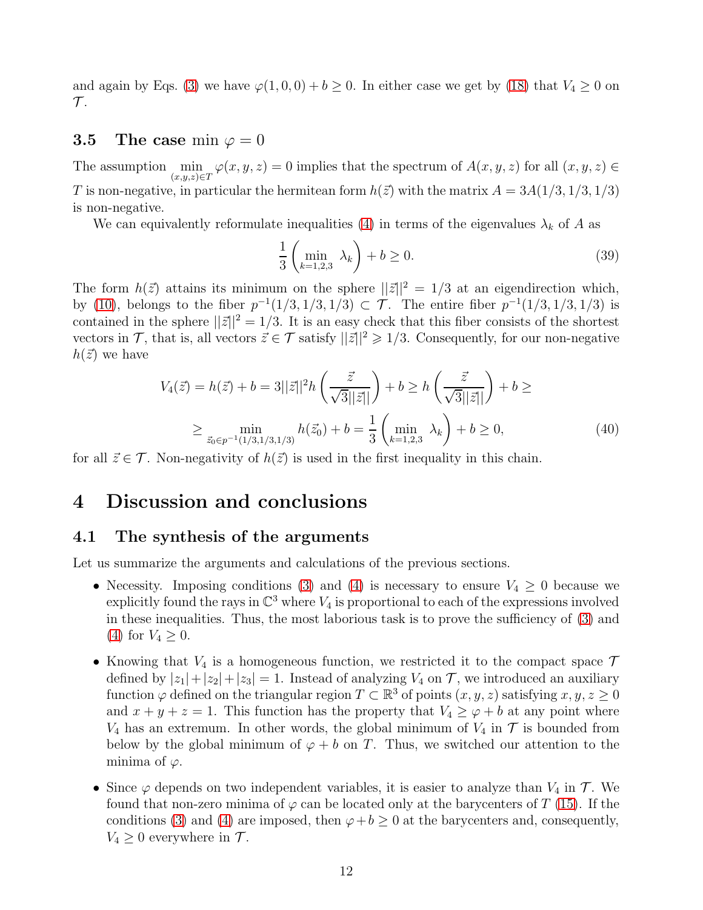and again by Eqs. [\(3\)](#page-2-3) we have  $\varphi(1,0,0) + b \ge 0$ . In either case we get by [\(18\)](#page-5-3) that  $V_4 \ge 0$  on  $\mathcal{T}.$ 

#### <span id="page-11-0"></span>**3.5** The case min  $\varphi = 0$

The assumption  $\min_{(x,y,z)\in\mathcal{I}}\varphi(x,y,z)=0$  implies that the spectrum of  $A(x,y,z)$  for all  $(x,y,z)\in\mathcal{I}$ T is non-negative, in particular the hermitean form  $h(\vec{z})$  with the matrix  $A = 3A(1/3, 1/3, 1/3)$ is non-negative.

We can equivalently reformulate inequalities [\(4\)](#page-2-3) in terms of the eigenvalues  $\lambda_k$  of A as

$$
\frac{1}{3}\left(\min_{k=1,2,3} \lambda_k\right) + b \ge 0. \tag{39}
$$

The form  $h(\vec{z})$  attains its minimum on the sphere  $||\vec{z}||^2 = 1/3$  at an eigendirection which, by [\(10\)](#page-3-2), belongs to the fiber  $p^{-1}(1/3, 1/3, 1/3) \subset \mathcal{T}$ . The entire fiber  $p^{-1}(1/3, 1/3, 1/3)$  is contained in the sphere  $||\vec{z}||^2 = 1/3$ . It is an easy check that this fiber consists of the shortest vectors in T, that is, all vectors  $\vec{z} \in T$  satisfy  $||\vec{z}||^2 \geq 1/3$ . Consequently, for our non-negative  $h(\vec{z})$  we have

$$
V_4(\vec{z}) = h(\vec{z}) + b = 3||\vec{z}||^2 h\left(\frac{\vec{z}}{\sqrt{3}||\vec{z}||}\right) + b \ge h\left(\frac{\vec{z}}{\sqrt{3}||\vec{z}||}\right) + b \ge
$$
  

$$
\ge \min_{\vec{z}_0 \in p^{-1}(1/3, 1/3, 1/3)} h(\vec{z}_0) + b = \frac{1}{3} \left(\min_{k=1,2,3} \lambda_k \right) + b \ge 0,
$$
 (40)

<span id="page-11-1"></span>for all  $\vec{z} \in \mathcal{T}$ . Non-negativity of  $h(\vec{z})$  is used in the first inequality in this chain.

### <span id="page-11-2"></span>4 Discussion and conclusions

#### 4.1 The synthesis of the arguments

Let us summarize the arguments and calculations of the previous sections.

- Necessity. Imposing conditions [\(3\)](#page-2-3) and [\(4\)](#page-2-3) is necessary to ensure  $V_4 \geq 0$  because we explicitly found the rays in  $\mathbb{C}^3$  where  $V_4$  is proportional to each of the expressions involved in these inequalities. Thus, the most laborious task is to prove the sufficiency of [\(3\)](#page-2-3) and [\(4\)](#page-2-3) for  $V_4 \geq 0$ .
- Knowing that  $V_4$  is a homogeneous function, we restricted it to the compact space  $\mathcal T$ defined by  $|z_1|+|z_2|+|z_3|=1$ . Instead of analyzing  $V_4$  on  $\mathcal T$ , we introduced an auxiliary function  $\varphi$  defined on the triangular region  $T \subset \mathbb{R}^3$  of points  $(x, y, z)$  satisfying  $x, y, z \ge 0$ and  $x + y + z = 1$ . This function has the property that  $V_4 \ge \varphi + b$  at any point where  $V_4$  has an extremum. In other words, the global minimum of  $V_4$  in  $\mathcal T$  is bounded from below by the global minimum of  $\varphi + b$  on T. Thus, we switched our attention to the minima of  $\varphi$ .
- Since  $\varphi$  depends on two independent variables, it is easier to analyze than  $V_4$  in  $\mathcal{T}$ . We found that non-zero minima of  $\varphi$  can be located only at the barycenters of T [\(15\)](#page-4-1). If the conditions [\(3\)](#page-2-3) and [\(4\)](#page-2-3) are imposed, then  $\varphi + b \geq 0$  at the barycenters and, consequently,  $V_4 \geq 0$  everywhere in  $\mathcal{T}$ .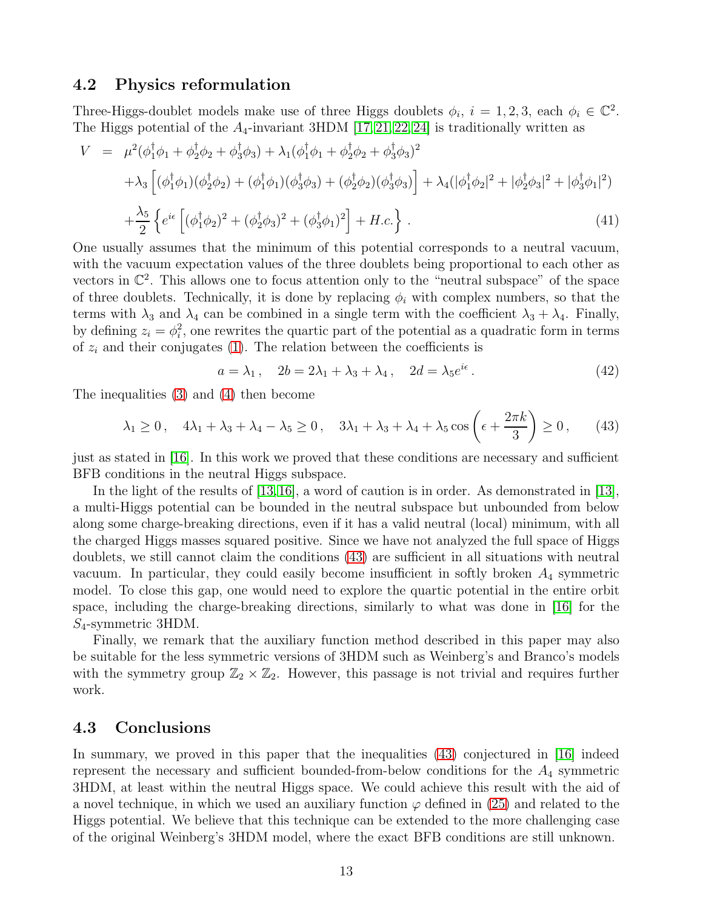#### <span id="page-12-0"></span>4.2 Physics reformulation

Three-Higgs-doublet models make use of three Higgs doublets  $\phi_i$ ,  $i = 1, 2, 3$ , each  $\phi_i \in \mathbb{C}^2$ . The Higgs potential of the  $A_4$ -invariant 3HDM [\[17,](#page-15-12) [21,](#page-15-13) [22,](#page-16-4) [24\]](#page-16-5) is traditionally written as

$$
V = \mu^2(\phi_1^{\dagger}\phi_1 + \phi_2^{\dagger}\phi_2 + \phi_3^{\dagger}\phi_3) + \lambda_1(\phi_1^{\dagger}\phi_1 + \phi_2^{\dagger}\phi_2 + \phi_3^{\dagger}\phi_3)^2 + \lambda_3\left[ (\phi_1^{\dagger}\phi_1)(\phi_2^{\dagger}\phi_2) + (\phi_1^{\dagger}\phi_1)(\phi_3^{\dagger}\phi_3) + (\phi_2^{\dagger}\phi_2)(\phi_3^{\dagger}\phi_3) \right] + \lambda_4(|\phi_1^{\dagger}\phi_2|^2 + |\phi_2^{\dagger}\phi_3|^2 + |\phi_3^{\dagger}\phi_1|^2) + \frac{\lambda_5}{2}\left\{ e^{i\epsilon} \left[ (\phi_1^{\dagger}\phi_2)^2 + (\phi_2^{\dagger}\phi_3)^2 + (\phi_3^{\dagger}\phi_1)^2 \right] + H.c. \right\}.
$$
 (41)

One usually assumes that the minimum of this potential corresponds to a neutral vacuum, with the vacuum expectation values of the three doublets being proportional to each other as vectors in  $\mathbb{C}^2$ . This allows one to focus attention only to the "neutral subspace" of the space of three doublets. Technically, it is done by replacing  $\phi_i$  with complex numbers, so that the terms with  $\lambda_3$  and  $\lambda_4$  can be combined in a single term with the coefficient  $\lambda_3 + \lambda_4$ . Finally, by defining  $z_i = \phi_i^2$ , one rewrites the quartic part of the potential as a quadratic form in terms of  $z_i$  and their conjugates [\(1\)](#page-2-2). The relation between the coefficients is

$$
a = \lambda_1, \quad 2b = 2\lambda_1 + \lambda_3 + \lambda_4, \quad 2d = \lambda_5 e^{i\epsilon}.
$$
 (42)

The inequalities [\(3\)](#page-2-3) and [\(4\)](#page-2-3) then become

<span id="page-12-2"></span>
$$
\lambda_1 \ge 0, \quad 4\lambda_1 + \lambda_3 + \lambda_4 - \lambda_5 \ge 0, \quad 3\lambda_1 + \lambda_3 + \lambda_4 + \lambda_5 \cos\left(\epsilon + \frac{2\pi k}{3}\right) \ge 0, \tag{43}
$$

just as stated in [\[16\]](#page-15-11). In this work we proved that these conditions are necessary and sufficient BFB conditions in the neutral Higgs subspace.

In the light of the results of [\[13,](#page-15-8)[16\]](#page-15-11), a word of caution is in order. As demonstrated in [\[13\]](#page-15-8), a multi-Higgs potential can be bounded in the neutral subspace but unbounded from below along some charge-breaking directions, even if it has a valid neutral (local) minimum, with all the charged Higgs masses squared positive. Since we have not analyzed the full space of Higgs doublets, we still cannot claim the conditions [\(43\)](#page-12-2) are sufficient in all situations with neutral vacuum. In particular, they could easily become insufficient in softly broken  $A_4$  symmetric model. To close this gap, one would need to explore the quartic potential in the entire orbit space, including the charge-breaking directions, similarly to what was done in [\[16\]](#page-15-11) for the  $S_4$ -symmetric 3HDM.

Finally, we remark that the auxiliary function method described in this paper may also be suitable for the less symmetric versions of 3HDM such as Weinberg's and Branco's models with the symmetry group  $\mathbb{Z}_2 \times \mathbb{Z}_2$ . However, this passage is not trivial and requires further work.

#### <span id="page-12-1"></span>4.3 Conclusions

In summary, we proved in this paper that the inequalities [\(43\)](#page-12-2) conjectured in [\[16\]](#page-15-11) indeed represent the necessary and sufficient bounded-from-below conditions for the  $A_4$  symmetric 3HDM, at least within the neutral Higgs space. We could achieve this result with the aid of a novel technique, in which we used an auxiliary function  $\varphi$  defined in [\(25\)](#page-6-1) and related to the Higgs potential. We believe that this technique can be extended to the more challenging case of the original Weinberg's 3HDM model, where the exact BFB conditions are still unknown.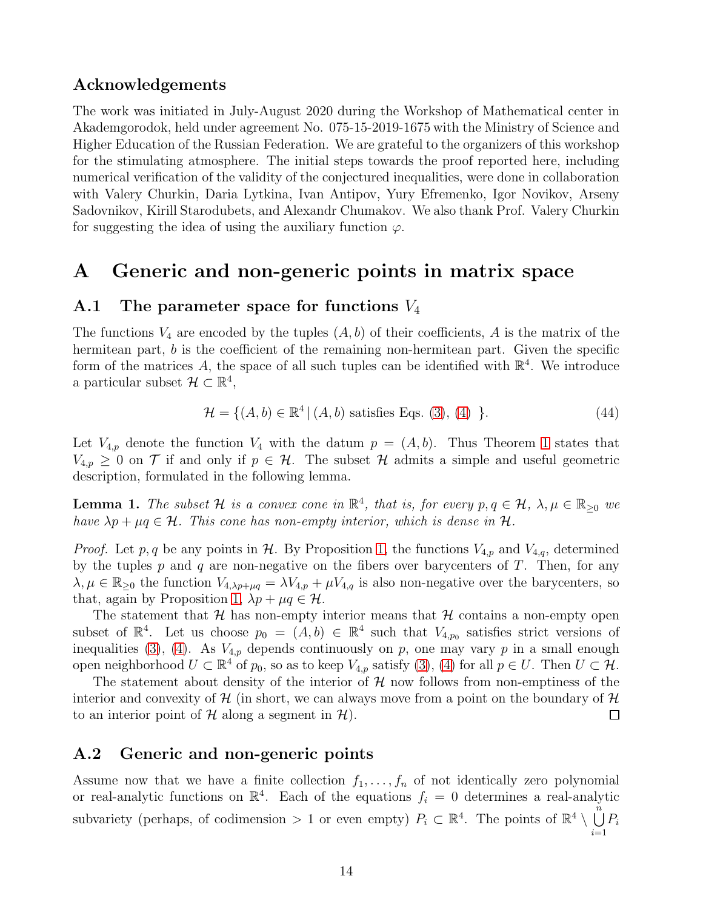#### Acknowledgements

The work was initiated in July-August 2020 during the Workshop of Mathematical center in Akademgorodok, held under agreement No. 075-15-2019-1675 with the Ministry of Science and Higher Education of the Russian Federation. We are grateful to the organizers of this workshop for the stimulating atmosphere. The initial steps towards the proof reported here, including numerical verification of the validity of the conjectured inequalities, were done in collaboration with Valery Churkin, Daria Lytkina, Ivan Antipov, Yury Efremenko, Igor Novikov, Arseny Sadovnikov, Kirill Starodubets, and Alexandr Chumakov. We also thank Prof. Valery Churkin for suggesting the idea of using the auxiliary function  $\varphi$ .

### <span id="page-13-1"></span><span id="page-13-0"></span>A Generic and non-generic points in matrix space

#### A.1 The parameter space for functions  $V_4$

The functions  $V_4$  are encoded by the tuples  $(A, b)$  of their coefficients, A is the matrix of the hermitean part, b is the coefficient of the remaining non-hermitean part. Given the specific form of the matrices A, the space of all such tuples can be identified with  $\mathbb{R}^4$ . We introduce a particular subset  $\mathcal{H} \subset \mathbb{R}^4$ ,

$$
\mathcal{H} = \{ (A, b) \in \mathbb{R}^4 \mid (A, b) \text{ satisfies Eqs. (3), (4)} \}.
$$
 (44)

Let  $V_{4,p}$  denote the function  $V_4$  with the datum  $p = (A, b)$ . Thus Theorem [1](#page-2-4) states that  $V_{4,p} \geq 0$  on  $\mathcal T$  if and only if  $p \in \mathcal H$ . The subset  $\mathcal H$  admits a simple and useful geometric description, formulated in the following lemma.

<span id="page-13-3"></span>**Lemma 1.** The subset H is a convex cone in  $\mathbb{R}^4$ , that is, for every  $p, q \in \mathcal{H}$ ,  $\lambda, \mu \in \mathbb{R}_{\geq 0}$  we have  $\lambda p + \mu q \in \mathcal{H}$ . This cone has non-empty interior, which is dense in  $\mathcal{H}$ .

*Proof.* Let p, q be any points in H. By Proposition [1,](#page-4-2) the functions  $V_{4,p}$  and  $V_{4,q}$ , determined by the tuples  $p$  and  $q$  are non-negative on the fibers over barycenters of  $T$ . Then, for any  $\lambda, \mu \in \mathbb{R}_{\geq 0}$  the function  $V_{4,\lambda p+\mu q} = \lambda V_{4,p} + \mu V_{4,q}$  is also non-negative over the barycenters, so that, again by Proposition [1,](#page-4-2)  $\lambda p + \mu q \in \mathcal{H}$ .

The statement that  $H$  has non-empty interior means that  $H$  contains a non-empty open subset of  $\mathbb{R}^4$ . Let us choose  $p_0 = (A, b) \in \mathbb{R}^4$  such that  $V_{4,p_0}$  satisfies strict versions of inequalities [\(3\)](#page-2-3), [\(4\)](#page-2-3). As  $V_{4,p}$  depends continuously on p, one may vary p in a small enough open neighborhood  $U \subset \mathbb{R}^4$  of  $p_0$ , so as to keep  $V_{4,p}$  satisfy [\(3\)](#page-2-3), [\(4\)](#page-2-3) for all  $p \in U$ . Then  $U \subset \mathcal{H}$ .

The statement about density of the interior of  $H$  now follows from non-emptiness of the interior and convexity of  $\mathcal{H}$  (in short, we can always move from a point on the boundary of  $\mathcal{H}$  to an interior point of  $\mathcal{H}$  along a segment in  $\mathcal{H}$ ). to an interior point of  $\mathcal H$  along a segment in  $\mathcal H$ ).

#### <span id="page-13-2"></span>A.2 Generic and non-generic points

Assume now that we have a finite collection  $f_1, \ldots, f_n$  of not identically zero polynomial or real-analytic functions on  $\mathbb{R}^4$ . Each of the equations  $f_i = 0$  determines a real-analytic subvariety (perhaps, of codimension > 1 or even empty)  $P_i \subset \mathbb{R}^4$ . The points of  $\mathbb{R}^4 \setminus \bigcup_{i=1}^n$  $i=1$  $P_i$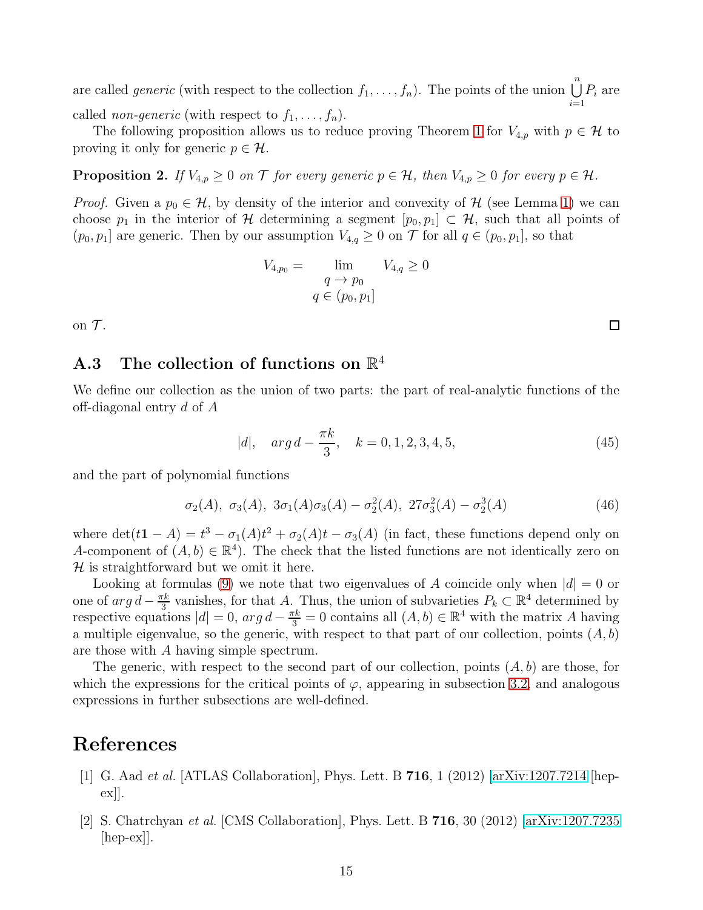are called *generic* (with respect to the collection  $f_1, \ldots, f_n$ ). The points of the union  $\bigcup^n$  $i=1$  $P_i$  are called *non-generic* (with respect to  $f_1, \ldots, f_n$ ).

The following proposition allows us to reduce proving Theorem [1](#page-2-4) for  $V_{4,p}$  with  $p \in \mathcal{H}$  to proving it only for generic  $p \in \mathcal{H}$ .

**Proposition 2.** If  $V_{4,p} \geq 0$  on  $\mathcal T$  for every generic  $p \in \mathcal H$ , then  $V_{4,p} \geq 0$  for every  $p \in \mathcal H$ .

*Proof.* Given a  $p_0 \in \mathcal{H}$ , by density of the interior and convexity of  $\mathcal{H}$  (see Lemma [1\)](#page-13-3) we can choose  $p_1$  in the interior of H determining a segment  $[p_0, p_1] \subset \mathcal{H}$ , such that all points of  $(p_0, p_1]$  are generic. Then by our assumption  $V_{4,q} \geq 0$  on  $\mathcal T$  for all  $q \in (p_0, p_1]$ , so that

$$
V_{4,p_0} = \lim_{\begin{array}{c} q \to p_0 \\ q \in (p_0, p_1] \end{array}} V_{4,q} \ge 0
$$

<span id="page-14-0"></span>on  $\mathcal T$ .

#### A.3 The collection of functions on  $\mathbb{R}^4$

We define our collection as the union of two parts: the part of real-analytic functions of the off-diagonal entry d of A

$$
|d|, \quad arg \, d - \frac{\pi k}{3}, \quad k = 0, 1, 2, 3, 4, 5,\tag{45}
$$

and the part of polynomial functions

$$
\sigma_2(A), \ \sigma_3(A), \ 3\sigma_1(A)\sigma_3(A) - \sigma_2^2(A), \ 27\sigma_3^2(A) - \sigma_2^3(A) \tag{46}
$$

where  $\det(t\mathbf{1}-A)=t^3-\sigma_1(A)t^2+\sigma_2(A)t-\sigma_3(A)$  (in fact, these functions depend only on A-component of  $(A, b) \in \mathbb{R}^4$ . The check that the listed functions are not identically zero on  $H$  is straightforward but we omit it here.

Looking at formulas [\(9\)](#page-3-3) we note that two eigenvalues of A coincide only when  $|d| = 0$  or one of  $arg d - \frac{\pi k}{3}$  $\frac{\pi k}{3}$  vanishes, for that A. Thus, the union of subvarieties  $P_k \subset \mathbb{R}^4$  determined by respective equations  $|d| = 0$ ,  $arg d - \frac{\pi k}{3} = 0$  contains all  $(A, b) \in \mathbb{R}^4$  with the matrix A having a multiple eigenvalue, so the generic, with respect to that part of our collection, points  $(A, b)$ are those with A having simple spectrum.

The generic, with respect to the second part of our collection, points  $(A, b)$  are those, for which the expressions for the critical points of  $\varphi$ , appearing in subsection [3.2,](#page-7-0) and analogous expressions in further subsections are well-defined.

### <span id="page-14-1"></span>References

- [1] G. Aad et al. [ATLAS Collaboration], Phys. Lett. B 716, 1 (2012) [\[arXiv:1207.7214](http://arxiv.org/abs/1207.7214) [hep $ex$  $\vert$ .
- [2] S. Chatrchyan et al. [CMS Collaboration], Phys. Lett. B 716, 30 (2012) [\[arXiv:1207.7235](http://arxiv.org/abs/1207.7235)  $\vert \text{hep-ex} \vert$ .

□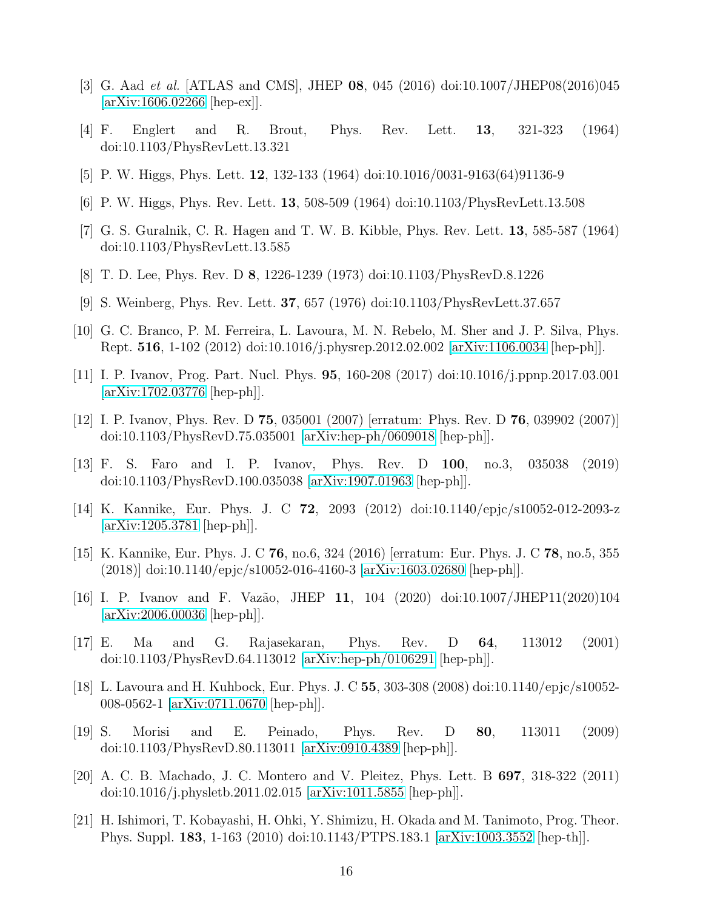- <span id="page-15-1"></span><span id="page-15-0"></span>[3] G. Aad et al. [ATLAS and CMS], JHEP 08, 045 (2016) doi:10.1007/JHEP08(2016)045 [\[arXiv:1606.02266](http://arxiv.org/abs/1606.02266) [hep-ex]].
- [4] F. Englert and R. Brout, Phys. Rev. Lett. 13, 321-323 (1964) doi:10.1103/PhysRevLett.13.321
- [5] P. W. Higgs, Phys. Lett. 12, 132-133 (1964) doi:10.1016/0031-9163(64)91136-9
- <span id="page-15-2"></span>[6] P. W. Higgs, Phys. Rev. Lett. 13, 508-509 (1964) doi:10.1103/PhysRevLett.13.508
- <span id="page-15-3"></span>[7] G. S. Guralnik, C. R. Hagen and T. W. B. Kibble, Phys. Rev. Lett. 13, 585-587 (1964) doi:10.1103/PhysRevLett.13.585
- <span id="page-15-4"></span>[8] T. D. Lee, Phys. Rev. D 8, 1226-1239 (1973) doi:10.1103/PhysRevD.8.1226
- <span id="page-15-5"></span>[9] S. Weinberg, Phys. Rev. Lett. 37, 657 (1976) doi:10.1103/PhysRevLett.37.657
- <span id="page-15-6"></span>[10] G. C. Branco, P. M. Ferreira, L. Lavoura, M. N. Rebelo, M. Sher and J. P. Silva, Phys. Rept. 516, 1-102 (2012) doi:10.1016/j.physrep.2012.02.002 [\[arXiv:1106.0034](http://arxiv.org/abs/1106.0034) [hep-ph]].
- <span id="page-15-7"></span>[11] I. P. Ivanov, Prog. Part. Nucl. Phys. 95, 160-208 (2017) doi:10.1016/j.ppnp.2017.03.001 [\[arXiv:1702.03776](http://arxiv.org/abs/1702.03776) [hep-ph]].
- <span id="page-15-8"></span>[12] I. P. Ivanov, Phys. Rev. D 75, 035001 (2007) [erratum: Phys. Rev. D 76, 039902 (2007)] doi:10.1103/PhysRevD.75.035001 [\[arXiv:hep-ph/0609018](http://arxiv.org/abs/hep-ph/0609018) [hep-ph]].
- [13] F. S. Faro and I. P. Ivanov, Phys. Rev. D 100, no.3, 035038 (2019) doi:10.1103/PhysRevD.100.035038 [\[arXiv:1907.01963](http://arxiv.org/abs/1907.01963) [hep-ph]].
- <span id="page-15-9"></span>[14] K. Kannike, Eur. Phys. J. C 72, 2093 (2012) doi:10.1140/epjc/s10052-012-2093-z [\[arXiv:1205.3781](http://arxiv.org/abs/1205.3781) [hep-ph]].
- <span id="page-15-10"></span>[15] K. Kannike, Eur. Phys. J. C 76, no.6, 324 (2016) [erratum: Eur. Phys. J. C 78, no.5, 355 (2018)] doi:10.1140/epjc/s10052-016-4160-3 [\[arXiv:1603.02680](http://arxiv.org/abs/1603.02680) [hep-ph]].
- <span id="page-15-11"></span>[16] I. P. Ivanov and F. Vazão, JHEP 11, 104 (2020) doi:10.1007/JHEP11(2020)104 [\[arXiv:2006.00036](http://arxiv.org/abs/2006.00036) [hep-ph]].
- <span id="page-15-12"></span>[17] E. Ma and G. Rajasekaran, Phys. Rev. D 64, 113012 (2001) doi:10.1103/PhysRevD.64.113012 [\[arXiv:hep-ph/0106291](http://arxiv.org/abs/hep-ph/0106291) [hep-ph]].
- [18] L. Lavoura and H. Kuhbock, Eur. Phys. J. C 55, 303-308 (2008) doi:10.1140/epjc/s10052- 008-0562-1 [\[arXiv:0711.0670](http://arxiv.org/abs/0711.0670) [hep-ph]].
- [19] S. Morisi and E. Peinado, Phys. Rev. D 80, 113011 (2009) doi:10.1103/PhysRevD.80.113011 [\[arXiv:0910.4389](http://arxiv.org/abs/0910.4389) [hep-ph]].
- [20] A. C. B. Machado, J. C. Montero and V. Pleitez, Phys. Lett. B 697, 318-322 (2011) doi:10.1016/j.physletb.2011.02.015 [\[arXiv:1011.5855](http://arxiv.org/abs/1011.5855) [hep-ph]].
- <span id="page-15-13"></span>[21] H. Ishimori, T. Kobayashi, H. Ohki, Y. Shimizu, H. Okada and M. Tanimoto, Prog. Theor. Phys. Suppl. 183, 1-163 (2010) doi:10.1143/PTPS.183.1 [\[arXiv:1003.3552](http://arxiv.org/abs/1003.3552) [hep-th]].